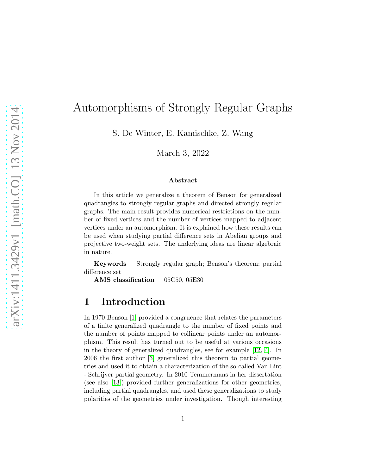# Automorphisms of Strongly Regular Graphs

S. De Winter, E. Kamischke, Z. Wang

March 3, 2022

#### Abstract

In this article we generalize a theorem of Benson for generalized quadrangles to strongly regular graphs and directed strongly regular graphs. The main result provides numerical restrictions on the number of fixed vertices and the number of vertices mapped to adjacent vertices under an automorphism. It is explained how these results can be used when studying partial difference sets in Abelian groups and projective two-weight sets. The underlying ideas are linear algebraic in nature.

Keywords— Strongly regular graph; Benson's theorem; partial difference set

AMS classification— 05C50, 05E30

### 1 Introduction

In 1970 Benson [\[1\]](#page-14-0) provided a congruence that relates the parameters of a finite generalized quadrangle to the number of fixed points and the number of points mapped to collinear points under an automorphism. This result has turned out to be useful at various occasions in the theory of generalized quadrangles, see for example [\[12,](#page-15-0) [4\]](#page-14-1). In 2006 the first author [\[3\]](#page-14-2) generalized this theorem to partial geometries and used it to obtain a characterization of the so-called Van Lint - Schrijver partial geometry. In 2010 Temmermans in her dissertation (see also [\[13\]](#page-15-1)) provided further generalizations for other geometries, including partial quadrangles, and used these generalizations to study polarities of the geometries under investigation. Though interesting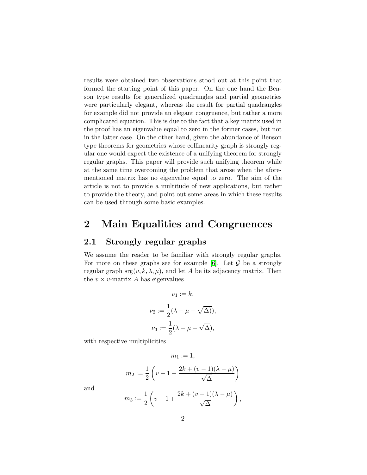results were obtained two observations stood out at this point that formed the starting point of this paper. On the one hand the Benson type results for generalized quadrangles and partial geometries were particularly elegant, whereas the result for partial quadrangles for example did not provide an elegant congruence, but rather a more complicated equation. This is due to the fact that a key matrix used in the proof has an eigenvalue equal to zero in the former cases, but not in the latter case. On the other hand, given the abundance of Benson type theorems for geometries whose collinearity graph is strongly regular one would expect the existence of a unifying theorem for strongly regular graphs. This paper will provide such unifying theorem while at the same time overcoming the problem that arose when the aforementioned matrix has no eigenvalue equal to zero. The aim of the article is not to provide a multitude of new applications, but rather to provide the theory, and point out some areas in which these results can be used through some basic examples.

### 2 Main Equalities and Congruences

#### 2.1 Strongly regular graphs

We assume the reader to be familiar with strongly regular graphs. For more on these graphs see for example [\[6\]](#page-14-3). Let  $G$  be a strongly regular graph  $\text{srg}(v, k, \lambda, \mu)$ , and let A be its adjacency matrix. Then the  $v \times v$ -matrix A has eigenvalues

$$
\nu_1 := k,
$$
  

$$
\nu_2 := \frac{1}{2}(\lambda - \mu + \sqrt{\Delta})),
$$
  

$$
\nu_3 := \frac{1}{2}(\lambda - \mu - \sqrt{\Delta}),
$$

with respective multiplicities

$$
m_1 := 1,
$$
  

$$
m_2 := \frac{1}{2} \left( v - 1 - \frac{2k + (v - 1)(\lambda - \mu)}{\sqrt{\Delta}} \right)
$$

and

$$
m_3 := \frac{1}{2} \left( v - 1 + \frac{2k + (v - 1)(\lambda - \mu)}{\sqrt{\Delta}} \right),
$$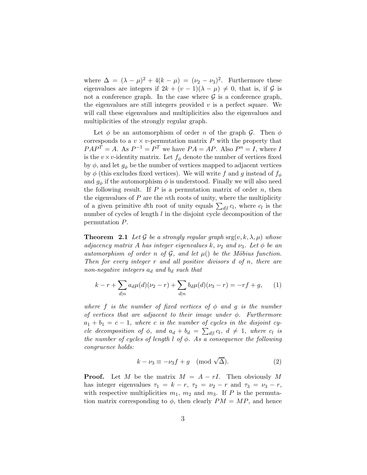where  $\Delta = (\lambda - \mu)^2 + 4(k - \mu) = (\nu_2 - \nu_3)^2$ . Furthermore these eigenvalues are integers if  $2k + (v - 1)(\lambda - \mu) \neq 0$ , that is, if G is not a conference graph. In the case where  $\mathcal G$  is a conference graph, the eigenvalues are still integers provided  $v$  is a perfect square. We will call these eigenvalues and multiplicities also the eigenvalues and multiplicities of the strongly regular graph.

Let  $\phi$  be an automorphism of order *n* of the graph  $\mathcal{G}$ . Then  $\phi$ corresponds to a  $v \times v$ -permutation matrix P with the property that  $PAP^T = A$ . As  $P^{-1} = P^T$  we have  $PA = AP$ . Also  $P^n = I$ , where I is the  $v \times v$ -identity matrix. Let  $f_{\phi}$  denote the number of vertices fixed by  $\phi$ , and let  $g_{\phi}$  be the number of vertices mapped to adjacent vertices by  $\phi$  (this excludes fixed vertices). We will write f and g instead of  $f_{\phi}$ and  $g_{\phi}$  if the automorphism  $\phi$  is understood. Finally we will also need the following result. If  $P$  is a permutation matrix of order  $n$ , then the eigenvalues of  $P$  are the nth roots of unity, where the multiplicity of a given primitive dth root of unity equals  $\sum_{d|l} c_l$ , where  $c_l$  is the number of cycles of length  $l$  in the disjoint cycle decomposition of the permutation P.

<span id="page-2-0"></span>**Theorem 2.1** Let G be a strongly regular graph  $\text{srg}(v, k, \lambda, \mu)$  whose adjacency matrix A has integer eigenvalues k,  $\nu_2$  and  $\nu_3$ . Let  $\phi$  be an automorphism of order n of  $G$ , and let  $\mu$ () be the Möbius function. Then for every integer  $r$  and all positive divisors  $d$  of  $n$ , there are non-negative integers  $a_d$  and  $b_d$  such that

$$
k - r + \sum_{d|n} a_d \mu(d) (\nu_2 - r) + \sum_{d|n} b_d \mu(d) (\nu_3 - r) = -rf + g, \quad (1)
$$

where f is the number of fixed vertices of  $\phi$  and g is the number of vertices that are adjacent to their image under  $\phi$ . Furthermore  $a_1 + b_1 = c - 1$ , where c is the number of cycles in the disjoint cycle decomposition of  $\phi$ , and  $a_d + b_d = \sum_{d|l} c_l$ ,  $d \neq 1$ , where  $c_l$  is the number of cycles of length  $l$  of  $\phi$ . As a consequence the following congruence holds:

$$
k - \nu_3 \equiv -\nu_3 f + g \pmod{\sqrt{\Delta}}.
$$
 (2)

**Proof.** Let M be the matrix  $M = A - rI$ . Then obviously M has integer eigenvalues  $\tau_1 = k - r$ ,  $\tau_2 = \nu_2 - r$  and  $\tau_3 = \nu_3 - r$ , with respective multiplicities  $m_1$ ,  $m_2$  and  $m_3$ . If P is the permutation matrix corresponding to  $\phi$ , then clearly  $PM = MP$ , and hence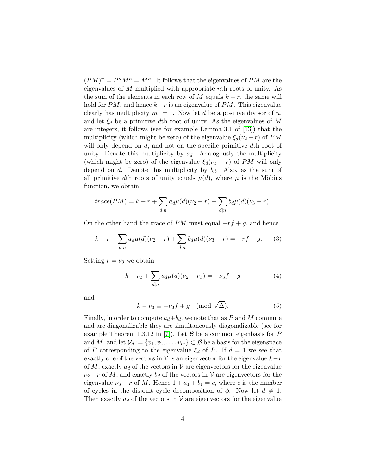$(PM)^n = P^n M^n = M^n$ . It follows that the eigenvalues of PM are the eigenvalues of M multiplied with appropriate nth roots of unity. As the sum of the elements in each row of M equals  $k - r$ , the same will hold for  $PM$ , and hence  $k-r$  is an eigenvalue of  $PM$ . This eigenvalue clearly has multiplicity  $m_1 = 1$ . Now let d be a positive divisor of n, and let  $\xi_d$  be a primitive dth root of unity. As the eigenvalues of M are integers, it follows (see for example Lemma 3.1 of [\[13\]](#page-15-1)) that the multiplicity (which might be zero) of the eigenvalue  $\xi_d(\nu_2 - r)$  of PM will only depend on d, and not on the specific primitive dth root of unity. Denote this multiplicity by  $a_d$ . Analogously the multiplicity (which might be zero) of the eigenvalue  $\xi_d(\nu_3 - r)$  of PM will only depend on d. Denote this multiplicity by  $b_d$ . Also, as the sum of all primitive dth roots of unity equals  $\mu(d)$ , where  $\mu$  is the Möbius function, we obtain

$$
trace(PM) = k - r + \sum_{d|n} a_d \mu(d)(\nu_2 - r) + \sum_{d|n} b_d \mu(d)(\nu_3 - r).
$$

On the other hand the trace of  $PM$  must equal  $-rf + g$ , and hence

<span id="page-3-2"></span>
$$
k - r + \sum_{d|n} a_d \mu(d) (\nu_2 - r) + \sum_{d|n} b_d \mu(d) (\nu_3 - r) = -rf + g. \tag{3}
$$

Setting  $r = \nu_3$  we obtain

<span id="page-3-0"></span>
$$
k - \nu_3 + \sum_{d|n} a_d \mu(d) (\nu_2 - \nu_3) = -\nu_3 f + g \tag{4}
$$

and

<span id="page-3-1"></span>
$$
k - \nu_3 \equiv -\nu_3 f + g \pmod{\sqrt{\Delta}}.
$$
 (5)

Finally, in order to compute  $a_d+b_d$ , we note that as P and M commute and are diagonalizable they are simultaneously diagonalizable (see for example Theorem 1.3.12 in [\[7\]](#page-15-2)). Let  $\beta$  be a common eigenbasis for P and M, and let  $\mathcal{V}_d := \{v_1, v_2, \ldots, v_m\} \subset \mathcal{B}$  be a basis for the eigenspace of P corresponding to the eigenvalue  $\xi_d$  of P. If  $d = 1$  we see that exactly one of the vectors in  $\mathcal V$  is an eigenvector for the eigenvalue  $k-r$ of M, exactly  $a_d$  of the vectors in V are eigenvectors for the eigenvalue  $\nu_2$  – r of M, and exactly  $b_d$  of the vectors in V are eigenvectors for the eigenvalue  $\nu_3 - r$  of M. Hence  $1 + a_1 + b_1 = c$ , where c is the number of cycles in the disjoint cycle decomposition of  $\phi$ . Now let  $d \neq 1$ . Then exactly  $a_d$  of the vectors in V are eigenvectors for the eigenvalue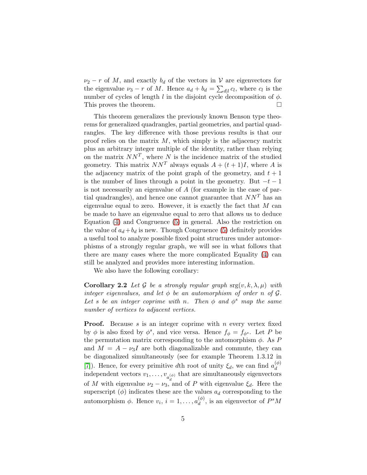$\nu_2 - r$  of M, and exactly  $b_d$  of the vectors in V are eigenvectors for the eigenvalue  $\nu_3 - r$  of M. Hence  $a_d + b_d = \sum_{d|\ell} c_l$ , where  $c_l$  is the number of cycles of length l in the disjoint cycle decomposition of  $\phi$ . This proves the theorem.  $\Box$ 

This theorem generalizes the previously known Benson type theorems for generalized quadrangles, partial geometries, and partial quadrangles. The key difference with those previous results is that our proof relies on the matrix  $M$ , which simply is the adjacency matrix plus an arbitrary integer multiple of the identity, rather than relying on the matrix  $NN^T$ , where N is the incidence matrix of the studied geometry. This matrix  $NN<sup>T</sup>$  always equals  $A + (t + 1)I$ , where A is the adjacency matrix of the point graph of the geometry, and  $t + 1$ is the number of lines through a point in the geometry. But  $-t-1$ is not necessarily an eigenvalue of A (for example in the case of partial quadrangles), and hence one cannot guarantee that  $NN<sup>T</sup>$  has an eigenvalue equal to zero. However, it is exactly the fact that  $M$  can be made to have an eigenvalue equal to zero that allows us to deduce Equation [\(4\)](#page-3-0) and Congruence [\(5\)](#page-3-1) in general. Also the restriction on the value of  $a_d + b_d$  is new. Though Congruence [\(5\)](#page-3-1) definitely provides a useful tool to analyze possible fixed point structures under automorphisms of a strongly regular graph, we will see in what follows that there are many cases where the more complicated Equality [\(4\)](#page-3-0) can still be analyzed and provides more interesting information.

We also have the following corollary:

<span id="page-4-0"></span>**Corollary 2.2** Let G be a strongly regular graph  $\text{srg}(v, k, \lambda, \mu)$  with integer eigenvalues, and let  $\phi$  be an automorphism of order n of  $\mathcal G$ . Let s be an integer coprime with n. Then  $\phi$  and  $\phi^s$  map the same number of vertices to adjacent vertices.

**Proof.** Because s is an integer coprime with n every vertex fixed by  $\phi$  is also fixed by  $\phi^s$ , and vice versa. Hence  $f_{\phi} = f_{\phi^s}$ . Let P be the permutation matrix corresponding to the automorphism  $\phi$ . As P and  $M = A - \nu_3 I$  are both diagonalizable and commute, they can be diagonalized simultaneously (see for example Theorem 1.3.12 in [\[7\]](#page-15-2)). Hence, for every primitive dth root of unity  $\xi_d$ , we can find  $a_d^{(\phi)}$ d independent vectors  $v_1, \ldots, v_{a_d^{(\phi)}}$  that are simultaneously eigenvectors of M with eigenvalue  $\nu_2 - \nu_3$ , and of P with eigenvalue  $\xi_d$ . Here the superscript  $(\phi)$  indicates these are the values  $a_d$  corresponding to the automorphism  $\phi$ . Hence  $v_i$ ,  $i = 1, \ldots, a_d^{(\phi)}$  $\binom{\varphi}{d}$ , is an eigenvector of  $P^sM$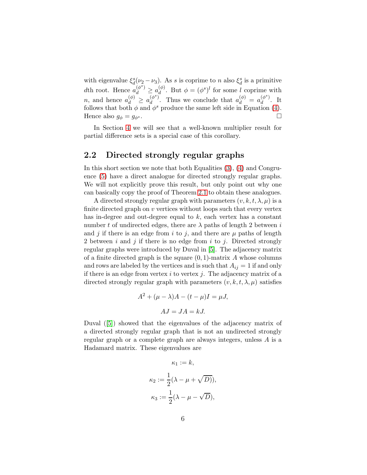with eigenvalue  $\xi_d^s(\nu_2 - \nu_3)$ . As s is coprime to n also  $\xi_d^s$  is a primitive dth root. Hence  $a_d^{(\phi^s)} \geq a_d^{(\phi)}$  $\mathcal{L}_d^{(\phi)}$ . But  $\phi = (\phi^s)^l$  for some l coprime with *n*, and hence  $a_d^{(\phi)} \ge a_d^{(\phi^s)}$  $\left(\begin{matrix} (\phi^s) \\ d \end{matrix}\right)^*$ . Thus we conclude that  $a_d^{(\phi)} = a_d^{(\phi^s)}$  $\frac{(\varphi)}{d}$ . It follows that both  $\phi$  and  $\phi^s$  produce the same left side in Equation [\(4\)](#page-3-0). Hence also  $g_{\phi} = g_{\phi^s}$ .

In Section [4](#page-7-0) we will see that a well-known multiplier result for partial difference sets is a special case of this corollary.

#### 2.2 Directed strongly regular graphs

In this short section we note that both Equalities [\(3\)](#page-3-2), [\(4\)](#page-3-0) and Congruence [\(5\)](#page-3-1) have a direct analogue for directed strongly regular graphs. We will not explicitly prove this result, but only point out why one can basically copy the proof of Theorem [2.1](#page-2-0) to obtain these analogues.

A directed strongly regular graph with parameters  $(v, k, t, \lambda, \mu)$  is a finite directed graph on  $\nu$  vertices without loops such that every vertex has in-degree and out-degree equal to  $k$ , each vertex has a constant number t of undirected edges, there are  $\lambda$  paths of length 2 between i and j if there is an edge from i to j, and there are  $\mu$  paths of length 2 between i and j if there is no edge from i to j. Directed strongly regular graphs were introduced by Duval in [\[5\]](#page-14-4). The adjacency matrix of a finite directed graph is the square  $(0, 1)$ -matrix A whose columns and rows are labeled by the vertices and is such that  $A_{ij} = 1$  if and only if there is an edge from vertex  $i$  to vertex  $j$ . The adjacency matrix of a directed strongly regular graph with parameters  $(v, k, t, \lambda, \mu)$  satisfies

$$
A2 + (\mu - \lambda)A - (t - \mu)I = \mu J,
$$
  

$$
AJ = JA = kJ.
$$

Duval ([\[5\]](#page-14-4)) showed that the eigenvalues of the adjacency matrix of a directed strongly regular graph that is not an undirected strongly regular graph or a complete graph are always integers, unless A is a Hadamard matrix. These eigenvalues are

$$
\kappa_1 := k,
$$
  

$$
\kappa_2 := \frac{1}{2}(\lambda - \mu + \sqrt{D})),
$$
  

$$
\kappa_3 := \frac{1}{2}(\lambda - \mu - \sqrt{D}),
$$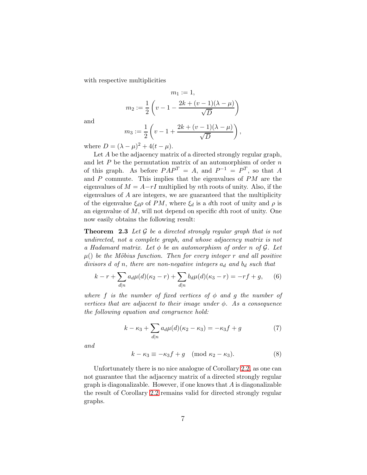with respective multiplicities

$$
m_1 := 1,
$$
  

$$
m_2 := \frac{1}{2} \left( v - 1 - \frac{2k + (v - 1)(\lambda - \mu)}{\sqrt{D}} \right)
$$

and

$$
m_3 := \frac{1}{2} \left( v - 1 + \frac{2k + (v - 1)(\lambda - \mu)}{\sqrt{D}} \right),
$$

where  $D = (\lambda - \mu)^2 + 4(t - \mu)$ .

Let A be the adjacency matrix of a directed strongly regular graph, and let  $P$  be the permutation matrix of an automorphism of order  $n$ of this graph. As before  $PAP^T = A$ , and  $P^{-1} = P^T$ , so that A and P commute. This implies that the eigenvalues of PM are the eigenvalues of  $M = A - rI$  multiplied by nth roots of unity. Also, if the eigenvalues of A are integers, we are guaranteed that the multiplicity of the eigenvalue  $\xi_d \rho$  of PM, where  $\xi_d$  is a dth root of unity and  $\rho$  is an eigenvalue of  $M$ , will not depend on specific  $d$ th root of unity. One now easily obtains the following result:

**Theorem 2.3** Let  $\mathcal G$  be a directed strongly regular graph that is not undirected, not a complete graph, and whose adjacency matrix is not a Hadamard matrix. Let  $\phi$  be an automorphism of order n of  $\mathcal{G}$ . Let  $\mu$ () be the Möbius function. Then for every integer r and all positive divisors  $d$  of  $n$ , there are non-negative integers  $a_d$  and  $b_d$  such that

$$
k - r + \sum_{d|n} a_d \mu(d) (\kappa_2 - r) + \sum_{d|n} b_d \mu(d) (\kappa_3 - r) = -rf + g, \quad (6)
$$

where f is the number of fixed vertices of  $\phi$  and g the number of vertices that are adjacent to their image under  $\phi$ . As a consequence the following equation and congruence hold:

<span id="page-6-0"></span>
$$
k - \kappa_3 + \sum_{d|n} a_d \mu(d)(\kappa_2 - \kappa_3) = -\kappa_3 f + g \tag{7}
$$

and

$$
k - \kappa_3 \equiv -\kappa_3 f + g \pmod{\kappa_2 - \kappa_3}.
$$
 (8)

Unfortunately there is no nice analogue of Corollary [2.2,](#page-4-0) as one can not guarantee that the adjacency matrix of a directed strongly regular graph is diagonalizable. However, if one knows that A is diagonalizable the result of Corollary [2.2](#page-4-0) remains valid for directed strongly regular graphs.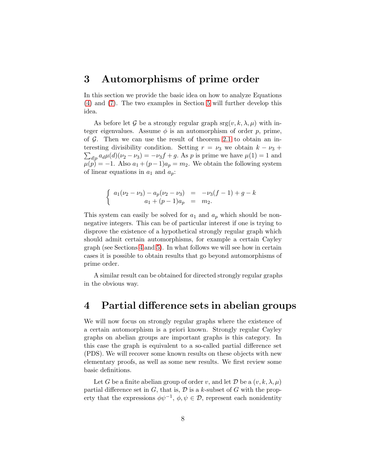### <span id="page-7-1"></span>3 Automorphisms of prime order

In this section we provide the basic idea on how to analyze Equations [\(4\)](#page-3-0) and [\(7\)](#page-6-0). The two examples in Section [5](#page-9-0) will further develop this idea.

As before let G be a strongly regular graph  $\text{srg}(v, k, \lambda, \mu)$  with integer eigenvalues. Assume  $\phi$  is an automorphism of order p, prime, of  $G$ . Then we can use the result of theorem [2.1](#page-2-0) to obtain an in- $\sum_{d|p} a_d \mu(d) (\nu_2 - \nu_3) = -\nu_3 f + g$ . As p is prime we have  $\mu(1) = 1$  and teresting divisibility condition. Setting  $r = \nu_3$  we obtain  $k - \nu_3$  +  $\mu(p) = -1$ . Also  $a_1 + (p-1)a_p = m_2$ . We obtain the following system of linear equations in  $a_1$  and  $a_p$ :

$$
\begin{cases}\n a_1(\nu_2 - \nu_3) - a_p(\nu_2 - \nu_3) &= -\nu_3(f - 1) + g - k \\
a_1 + (p - 1)a_p &= m_2.\n\end{cases}
$$

This system can easily be solved for  $a_1$  and  $a_p$  which should be nonnegative integers. This can be of particular interest if one is trying to disprove the existence of a hypothetical strongly regular graph which should admit certain automorphisms, for example a certain Cayley graph (see Sections [4](#page-7-0) and [5\)](#page-9-0). In what follows we will see how in certain cases it is possible to obtain results that go beyond automorphisms of prime order.

A similar result can be obtained for directed strongly regular graphs in the obvious way.

## <span id="page-7-0"></span>4 Partial difference sets in abelian groups

We will now focus on strongly regular graphs where the existence of a certain automorphism is a priori known. Strongly regular Cayley graphs on abelian groups are important graphs is this category. In this case the graph is equivalent to a so-called partial difference set (PDS). We will recover some known results on these objects with new elementary proofs, as well as some new results. We first review some basic definitions.

Let G be a finite abelian group of order v, and let D be a  $(v, k, \lambda, \mu)$ partial difference set in  $G$ , that is,  $D$  is a k-subset of  $G$  with the property that the expressions  $\phi\psi^{-1}$ ,  $\phi, \psi \in \mathcal{D}$ , represent each nonidentity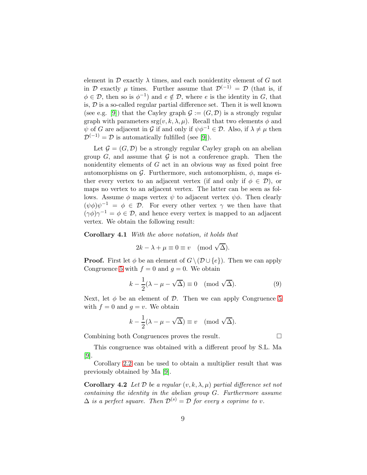element in  $\mathcal D$  exactly  $\lambda$  times, and each nonidentity element of G not in D exactly  $\mu$  times. Further assume that  $\mathcal{D}^{(-1)} = \mathcal{D}$  (that is, if  $\phi \in \mathcal{D}$ , then so is  $\phi^{-1}$ ) and  $e \notin \mathcal{D}$ , where e is the identity in G, that is,  $D$  is a so-called regular partial difference set. Then it is well known (see e.g. [\[9\]](#page-15-3)) that the Cayley graph  $\mathcal{G} := (G, \mathcal{D})$  is a strongly regular graph with parameters  $\text{srg}(v, k, \lambda, \mu)$ . Recall that two elements  $\phi$  and  $\psi$  of G are adjacent in G if and only if  $\psi \phi^{-1} \in \mathcal{D}$ . Also, if  $\lambda \neq \mu$  then  $\mathcal{D}^{(-1)} = \mathcal{D}$  is automatically fulfilled (see [\[9\]](#page-15-3)).

Let  $\mathcal{G} = (G, \mathcal{D})$  be a strongly regular Cayley graph on an abelian group  $G$ , and assume that  $G$  is not a conference graph. Then the nonidentity elements of  $G$  act in an obvious way as fixed point free automorphisms on G. Furthermore, such automorphism,  $\phi$ , maps either every vertex to an adjacent vertex (if and only if  $\phi \in \mathcal{D}$ ), or maps no vertex to an adjacent vertex. The latter can be seen as follows. Assume  $\phi$  maps vertex  $\psi$  to adjacent vertex  $\psi \phi$ . Then clearly  $(\psi \phi) \psi^{-1} = \phi \in \mathcal{D}$ . For every other vertex  $\gamma$  we then have that  $(\gamma \phi) \gamma^{-1} = \phi \in \mathcal{D}$ , and hence every vertex is mapped to an adjacent vertex. We obtain the following result:

Corollary 4.1 With the above notation, it holds that

$$
2k - \lambda + \mu \equiv 0 \equiv v \pmod{\sqrt{\Delta}}.
$$

**Proof.** First let  $\phi$  be an element of  $G \setminus (D \cup \{e\})$ . Then we can apply Congruence [5](#page-3-1) with  $f = 0$  and  $q = 0$ . We obtain

$$
k - \frac{1}{2}(\lambda - \mu - \sqrt{\Delta}) \equiv 0 \pmod{\sqrt{\Delta}}.
$$
 (9)

Next, let  $\phi$  be an element of  $\mathcal{D}$ . Then we can apply Congruence [5](#page-3-1) with  $f = 0$  and  $q = v$ . We obtain

$$
k - \frac{1}{2}(\lambda - \mu - \sqrt{\Delta}) \equiv v \pmod{\sqrt{\Delta}}.
$$

Combining both Congruences proves the result. □

This congruence was obtained with a different proof by S.L. Ma [\[9\]](#page-15-3).

Corollary [2.2](#page-4-0) can be used to obtain a multiplier result that was previously obtained by Ma [\[9\]](#page-15-3).

**Corollary 4.2** Let  $D$  be a regular  $(v, k, \lambda, \mu)$  partial difference set not containing the identity in the abelian group G. Furthermore assume  $\Delta$  is a perfect square. Then  $\mathcal{D}^{(s)} = \mathcal{D}$  for every s coprime to v.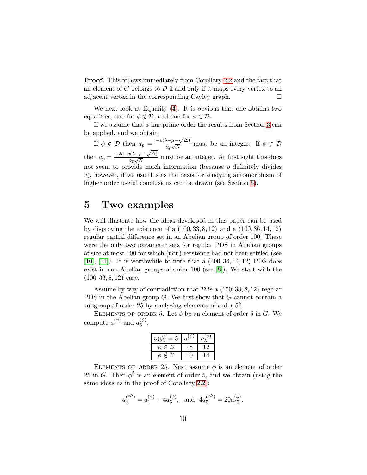**Proof.** This follows immediately from Corollary [2.2](#page-4-0) and the fact that an element of G belongs to  $D$  if and only if it maps every vertex to an adjacent vertex in the corresponding Cayley graph.

We next look at Equality [\(4\)](#page-3-0). It is obvious that one obtains two equalities, one for  $\phi \notin \mathcal{D}$ , and one for  $\phi \in \mathcal{D}$ .

If we assume that  $\phi$  has prime order the results from Section [3](#page-7-1) can be applied, and we obtain:

If  $\phi \notin \mathcal{D}$  then  $a_p = \frac{-v(\lambda - \mu - \sqrt{\Delta})}{2p\sqrt{\Delta}}$  $\frac{\sqrt{-\mu} - \sqrt{\Delta}}{2p\sqrt{\Delta}}$  must be an integer. If  $\phi \in \mathcal{D}$ then  $a_p = \frac{-2v - v(\lambda - \mu - \sqrt{\Delta})}{2v}$  $\frac{2p\sqrt{\Delta}}{2p\sqrt{\Delta}}$  must be an integer. At first sight this does not seem to provide much information (because  $p$  definitely divides v), however, if we use this as the basis for studying automorphism of higher order useful conclusions can be drawn (see Section [5\)](#page-9-0).

## <span id="page-9-0"></span>5 Two examples

We will illustrate how the ideas developed in this paper can be used by disproving the existence of a (100, 33, 8, 12) and a (100, 36, 14, 12) regular partial difference set in an Abelian group of order 100. These were the only two parameter sets for regular PDS in Abelian groups of size at most 100 for which (non)-existence had not been settled (see [\[10\]](#page-15-4), [\[11\]](#page-15-5)). It is worthwhile to note that a (100, 36, 14, 12) PDS does exist in non-Abelian groups of order 100 (see [\[8\]](#page-15-6)). We start with the  $(100, 33, 8, 12)$  case.

Assume by way of contradiction that  $\mathcal D$  is a  $(100, 33, 8, 12)$  regular PDS in the Abelian group G. We first show that G cannot contain a subgroup of order 25 by analyzing elements of order  $5^k$ .

ELEMENTS OF ORDER 5. Let  $\phi$  be an element of order 5 in G. We compute  $a_1^{(\phi)}$  $_1^{(\phi)}$  and  $a_5^{(\phi)}$  $\binom{(\varphi)}{5}$ .

| $o(\phi)$<br>$=5$      | $a^{\circ}$ | $\alpha$ |
|------------------------|-------------|----------|
| $\phi \in \mathcal{D}$ |             |          |
| t 'J )<br>Ō.           |             |          |

ELEMENTS OF ORDER 25. Next assume  $\phi$  is an element of order 25 in G. Then  $\phi^5$  is an element of order 5, and we obtain (using the same ideas as in the proof of Corollary [2.2\)](#page-4-0):

$$
a_1^{(\phi^5)} = a_1^{(\phi)} + 4a_5^{(\phi)}, \text{ and } 4a_5^{(\phi^5)} = 20a_{25}^{(\phi)}.
$$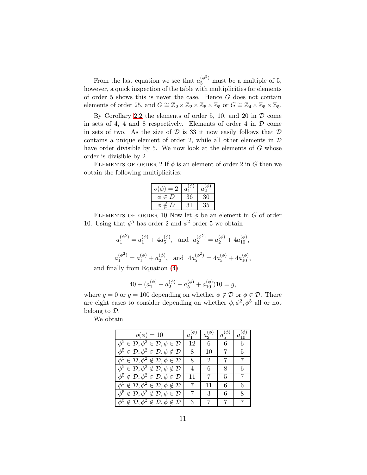From the last equation we see that  $a_5^{(\phi^5)}$  must be a multiple of 5, however, a quick inspection of the table with multiplicities for elements of order 5 shows this is never the case. Hence G does not contain elements of order 25, and  $G \cong \mathbb{Z}_2 \times \mathbb{Z}_2 \times \mathbb{Z}_5 \times \mathbb{Z}_5$  or  $G \cong \mathbb{Z}_4 \times \mathbb{Z}_5 \times \mathbb{Z}_5$ .

By Corollary [2.2](#page-4-0) the elements of order 5, 10, and 20 in  $D$  come in sets of 4, 4 and 8 respectively. Elements of order 4 in  $D$  come in sets of two. As the size of  $D$  is 33 it now easily follows that  $D$ contains a unique element of order 2, while all other elements in  $D$ have order divisible by 5. We now look at the elements of G whose order is divisible by 2.

ELEMENTS OF ORDER 2 If  $\phi$  is an element of order 2 in G then we obtain the following multiplicities:

| $o(\phi)$<br>$=2$ | $a_1^{(\varphi)}$ | $a_2^{(\phi)}$ |
|-------------------|-------------------|----------------|
| $\phi \in D$      | 36                |                |
| Φ<br>∉ I)         |                   | 35             |

ELEMENTS OF ORDER 10 Now let  $\phi$  be an element in G of order 10. Using that  $\phi^5$  has order 2 and  $\phi^2$  order 5 we obtain

$$
a_1^{(\phi^5)} = a_1^{(\phi)} + 4a_5^{(\phi)}
$$
, and  $a_2^{(\phi^5)} = a_2^{(\phi)} + 4a_{10}^{(\phi)}$ ,  
\n $a_2^{(\phi^5)} = a_2^{(\phi)} + 4a_{10}^{(\phi)}$ ,  
\n $a_3^{(\phi^5)} = a_3^{(\phi)} + 4a_{10}^{(\phi)}$ ,  
\n $a_3^{(\phi^5)} = a_3^{(\phi)} + 4a_{10}^{(\phi)}$ ,  
\n $a_3^{(\phi^5)} = a_3^{(\phi)} + 4a_{10}^{(\phi)}$ ,  
\n $a_3^{(\phi^5)} = a_3^{(\phi^5)} + 4a_{10}^{(\phi^5)}$ ,  
\n $a_3^{(\phi^5)} = a_3^{(\phi^5)} + 4a_{10}^{(\phi^5)}$ ,  
\n $a_3^{(\phi^5)} = a_3^{(\phi^5)} + 4a_{10}^{(\phi^5)}$ ,  
\n $a_3^{(\phi^5)} = a_3^{(\phi^5)} + 4a_{10}^{(\phi^5)}$ ,  
\n $a_3^{(\phi^5)} = a_3^{(\phi^5)} + 4a_{10}^{(\phi^5)}$ ,  
\n $a_3^{(\phi^5)} = a_3^{(\phi^5)} + 4a_{10}^{(\phi^5)}$ ,  
\n $a_3^{(\phi^5)} = a_3^{(\phi^5)} + 4a_{10}^{(\phi^5)}$ ,  
\n $a_3^{(\phi^5)} = a_3^{(\phi^5)} + 4a_{10}^{(\phi^5)}$ ,  
\n $a_3^{(\phi^5)} = a_3^{(\phi^5)} + 4a_{10}^{(\phi^5)}$ ,  
\n $a_3^{(\phi^5)} = a_3^{(\phi^5)} + 4a_{10}^{(\phi^5)}$ ,  
\n $a_3^{(\phi^5)} = a_3^{(\phi^5)} + 4a_{10}^{(\phi^5)}$ ,  
\n $a_3^{(\phi^5)} = a_3^{(\phi^5)} + 4a_{10}^{(\phi^5)}$ ,  
\n $a_3^{(\phi^5)} = a_3^{(\phi^5)} + 4a_{10}^{(\phi^5)}$ ,  
\n $a_3^{(\phi^5)} = a_3$ 

$$
a_1^{(\phi^2)} = a_1^{(\phi)} + a_2^{(\phi)}
$$
, and  $4a_5^{(\phi^2)} = 4a_5^{(\phi)} + 4a_{10}^{(\phi)}$ ,

and finally from Equation [\(4\)](#page-3-0)

$$
40 + (a_1^{(\phi)} - a_2^{(\phi)} - a_5^{(\phi)} + a_{10}^{(\phi)})10 = g,
$$

where  $g = 0$  or  $g = 100$  depending on whether  $\phi \notin \mathcal{D}$  or  $\phi \in \mathcal{D}$ . There are eight cases to consider depending on whether  $\phi, \phi^2, \phi^5$  all or not belong to D.

We obtain

| $o(\phi) = 10$                                                                          | $a_{1}$        | $a_2$ | $a_5$ | $a_{10}$ |
|-----------------------------------------------------------------------------------------|----------------|-------|-------|----------|
| $\phi^5 \in \mathcal{D}, \phi^2 \in \mathcal{D}, \phi \in \mathcal{D}$                  | 12             | 6     | 6     |          |
| $\phi^5 \in \mathcal{D}, \phi^2 \in \mathcal{D}, \phi \notin \mathcal{D}$               | 8              | 10    |       | 5        |
| $\phi^5 \in \mathcal{D}, \phi^2 \nsubseteq \mathcal{D}, \phi \in \mathcal{D}$           | 8              | 2     |       |          |
| $\overline{\phi^5} \in \mathcal{D}, \phi^2 \notin \mathcal{D}, \phi \notin \mathcal{D}$ | $\overline{4}$ | 6     | 8     |          |
| $\phi^5 \notin \mathcal{D}, \phi^2 \in \mathcal{D}, \phi \in \mathcal{D}$               | 11             |       | 5     |          |
| $\phi^5 \notin \mathcal{D}, \phi^2 \in \mathcal{D}, \phi \notin \mathcal{D}$            | 7              | 11    | 6     |          |
| $\phi^5 \notin \mathcal{D}, \phi^2 \notin \mathcal{D}, \phi \in \mathcal{D}$            |                | 3     | 6     |          |
| $\phi^5 \notin \mathcal{D}, \phi^2 \not\in \mathcal{D}, \phi \notin \mathcal{D}$        | 3              |       |       |          |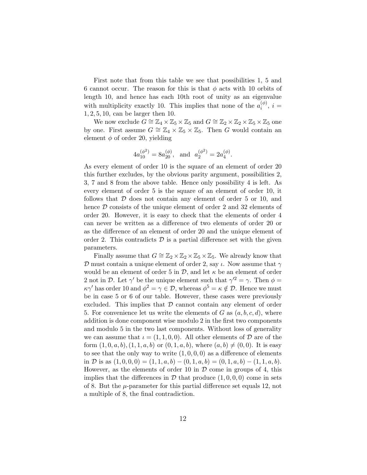First note that from this table we see that possibilities 1, 5 and 6 cannot occur. The reason for this is that  $\phi$  acts with 10 orbits of length 10, and hence has each 10th root of unity as an eigenvalue with multiplicity exactly 10. This implies that none of the  $a_i^{(\phi)}$  $i^{(\varphi)}$ ,  $i =$ 1, 2, 5, 10, can be larger then 10.

We now exclude  $G \cong \mathbb{Z}_4 \times \mathbb{Z}_5 \times \mathbb{Z}_5$  and  $G \cong \mathbb{Z}_2 \times \mathbb{Z}_2 \times \mathbb{Z}_5 \times \mathbb{Z}_5$  one by one. First assume  $G \cong \mathbb{Z}_4 \times \mathbb{Z}_5 \times \mathbb{Z}_5$ . Then G would contain an element  $\phi$  of order 20, yielding

$$
4a_{10}^{(\phi^2)} = 8a_{20}^{(\phi)}, \text{ and } a_2^{(\phi^2)} = 2a_4^{(\phi)}.
$$

As every element of order 10 is the square of an element of order 20 this further excludes, by the obvious parity argument, possibilities 2, 3, 7 and 8 from the above table. Hence only possibility 4 is left. As every element of order 5 is the square of an element of order 10, it follows that  $D$  does not contain any element of order 5 or 10, and hence  $\mathcal D$  consists of the unique element of order 2 and 32 elements of order 20. However, it is easy to check that the elements of order 4 can never be written as a difference of two elements of order 20 or as the difference of an element of order 20 and the unique element of order 2. This contradicts  $\mathcal D$  is a partial difference set with the given parameters.

Finally assume that  $G \cong \mathbb{Z}_2 \times \mathbb{Z}_2 \times \mathbb{Z}_5 \times \mathbb{Z}_5$ . We already know that D must contain a unique element of order 2, say  $\iota$ . Now assume that  $\gamma$ would be an element of order 5 in  $\mathcal{D}$ , and let  $\kappa$  be an element of order 2 not in D. Let  $\gamma'$  be the unique element such that  $\gamma'^2 = \gamma$ . Then  $\phi =$  $\kappa \gamma'$  has order 10 and  $\phi^2 = \gamma \in \mathcal{D}$ , whereas  $\phi^5 = \kappa \notin \mathcal{D}$ . Hence we must be in case 5 or 6 of our table. However, these cases were previously excluded. This implies that  $D$  cannot contain any element of order 5. For convenience let us write the elements of G as  $(a, b, c, d)$ , where addition is done component wise modulo 2 in the first two components and modulo 5 in the two last components. Without loss of generality we can assume that  $\iota = (1, 1, 0, 0)$ . All other elements of D are of the form  $(1, 0, a, b), (1, 1, a, b)$  or  $(0, 1, a, b)$ , where  $(a, b) \neq (0, 0)$ . It is easy to see that the only way to write  $(1, 0, 0, 0)$  as a difference of elements in D is as  $(1, 0, 0, 0) = (1, 1, a, b) - (0, 1, a, b) = (0, 1, a, b) - (1, 1, a, b).$ However, as the elements of order 10 in  $D$  come in groups of 4, this implies that the differences in  $\mathcal D$  that produce  $(1, 0, 0, 0)$  come in sets of 8. But the  $\mu$ -parameter for this partial difference set equals 12, not a multiple of 8, the final contradiction.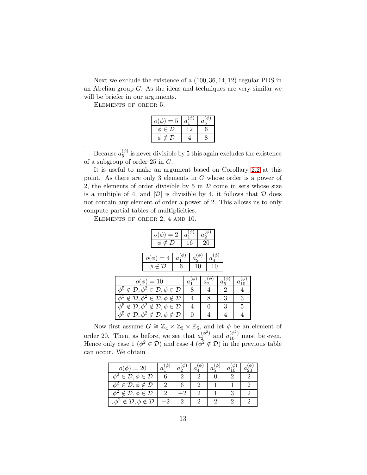Next we exclude the existence of a (100, 36, 14, 12) regular PDS in an Abelian group G. As the ideas and techniques are very similar we will be briefer in our arguments.

Elements of order 5.

.

| $o(\phi)$<br>$=5$      | a. | $a_{\varepsilon}$ |
|------------------------|----|-------------------|
| $\phi \in \mathcal{D}$ |    |                   |
| ∉ I)<br>⋔              |    |                   |

Because  $a_5^{(\phi)}$  $\binom{\varphi}{5}$  is never divisible by 5 this again excludes the existence of a subgroup of order 25 in G.

It is useful to make an argument based on Corollary [2.2](#page-4-0) at this point. As there are only 3 elements in G whose order is a power of 2, the elements of order divisible by 5 in  $\mathcal D$  come in sets whose size is a multiple of 4, and  $|\mathcal{D}|$  is divisible by 4, it follows that  $\mathcal D$  does not contain any element of order a power of 2. This allows us to only compute partial tables of multiplicities.

Elements of order 2, 4 and 10.

φ

φ

φ

φ

| $\phi \notin D$                                                                                       | $=2$       | $\mathfrak a$<br>16 |               | 20 |         |   |                |
|-------------------------------------------------------------------------------------------------------|------------|---------------------|---------------|----|---------|---|----------------|
| $=4$<br>$\notin \overline{\mathcal{D}}$                                                               | $a_1$<br>6 |                     | $a_{2}$<br>10 |    | a<br>10 |   |                |
| $o(\phi) = 10$                                                                                        |            | а                   |               |    |         |   |                |
| $\overline{5} \notin \overline{\mathcal{D}, \phi^2} \in \overline{\mathcal{D}}, \phi \in \mathcal{D}$ |            |                     |               |    |         | 2 | 4              |
| $\overline{5 \notin \mathcal{D}, \phi^2 \in \mathcal{D}, \phi \notin \mathcal{D}}$                    |            |                     |               |    | 8       | 3 | 3              |
| $\overline{5 \notin \mathcal{D}, \phi^2 \notin \mathcal{D}, \phi \in \mathcal{D}}$                    |            |                     |               |    |         | 3 | $\overline{5}$ |
|                                                                                                       |            |                     |               |    |         |   |                |

(φ) 10

Now first assume  $G \cong \mathbb{Z}_4 \times \mathbb{Z}_5 \times \mathbb{Z}_5$ , and let  $\phi$  be an element of order 20. Then, as before, we see that  $a_2^{(\phi^2)}$  $a_{2}^{(\phi^2)}$  and  $a_{10}^{(\phi^2)}$  must be even. Hence only case  $1 \ (\phi^2 \in \mathcal{D})$  and case  $4 \ (\phi^2 \notin \mathcal{D})$  in the previous table can occur. We obtain

 $\notin \mathcal{D}, \phi^2 \notin \mathcal{D}, \phi \notin \mathcal{D}$  | 0 | 4 | 4

| $=20$                                      |  |  |  |
|--------------------------------------------|--|--|--|
| $\in \mathcal{D}, \phi \in \mathcal{D}$    |  |  |  |
| $\in \mathcal{D}, \phi \notin \mathcal{D}$ |  |  |  |
| $\mathcal{D}, \phi \in \mathcal{D}$        |  |  |  |
| $\mathcal{D}, \phi \notin$                 |  |  |  |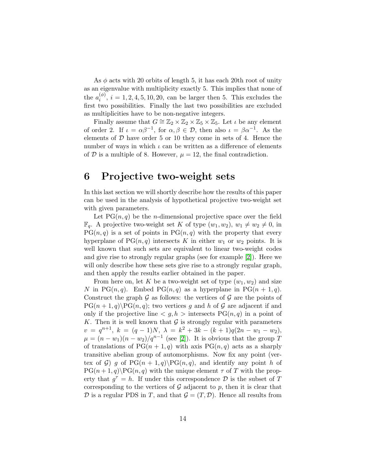As  $\phi$  acts with 20 orbits of length 5, it has each 20th root of unity as an eigenvalue with multiplicity exactly 5. This implies that none of the  $a_i^{(\phi)}$  $i^{(\varphi)}$ ,  $i = 1, 2, 4, 5, 10, 20$ , can be larger then 5. This excludes the first two possibilities. Finally the last two possibilities are excluded as multiplicities have to be non-negative integers.

Finally assume that  $G \cong \mathbb{Z}_2 \times \mathbb{Z}_2 \times \mathbb{Z}_5 \times \mathbb{Z}_5$ . Let  $\iota$  be any element of order 2. If  $\iota = \alpha \beta^{-1}$ , for  $\alpha, \beta \in \mathcal{D}$ , then also  $\iota = \beta \alpha^{-1}$ . As the elements of  $D$  have order 5 or 10 they come in sets of 4. Hence the number of ways in which  $\iota$  can be written as a difference of elements of  $D$  is a multiple of 8. However,  $\mu = 12$ , the final contradiction.

# 6 Projective two-weight sets

In this last section we will shortly describe how the results of this paper can be used in the analysis of hypothetical projective two-weight set with given parameters.

Let  $PG(n, q)$  be the *n*-dimensional projective space over the field  $\mathbb{F}_q$ . A projective two-weight set K of type  $(w_1, w_2), w_1 \neq w_2 \neq 0$ , in  $PG(n, q)$  is a set of points in  $PG(n, q)$  with the property that every hyperplane of  $PG(n, q)$  intersects K in either  $w_1$  or  $w_2$  points. It is well known that such sets are equivalent to linear two-weight codes and give rise to strongly regular graphs (see for example [\[2\]](#page-14-5)). Here we will only describe how these sets give rise to a strongly regular graph, and then apply the results earlier obtained in the paper.

From here on, let K be a two-weight set of type  $(w_1, w_2)$  and size N in PG $(n, q)$ . Embed PG $(n, q)$  as a hyperplane in PG $(n + 1, q)$ . Construct the graph  $\mathcal G$  as follows: the vertices of  $\mathcal G$  are the points of  $PG(n + 1, q) \PG(n, q)$ ; two vertices g and h of G are adjacent if and only if the projective line  $\langle q, h \rangle$  intersects  $PG(n, q)$  in a point of K. Then it is well known that  $\mathcal G$  is strongly regular with parameters  $v = q^{n+1}, k = (q-1)N, \lambda = k^2 + 3k - (k+1)q(2n - w_1 - w_2),$  $\mu = (n - w_1)(n - w_2)/q^{n-1}$  (see [\[2\]](#page-14-5)). It is obvious that the group T of translations of  $PG(n + 1, q)$  with axis  $PG(n, q)$  acts as a sharply transitive abelian group of automorphisms. Now fix any point (vertex of G) g of  $PG(n + 1, q) \backslash PG(n, q)$ , and identify any point h of  $PG(n+1,q)\$  PG $(n,q)$  with the unique element  $\tau$  of T with the property that  $g^{\tau} = h$ . If under this correspondence  $\mathcal{D}$  is the subset of T corresponding to the vertices of  $G$  adjacent to p, then it is clear that  $D$  is a regular PDS in T, and that  $G = (T, D)$ . Hence all results from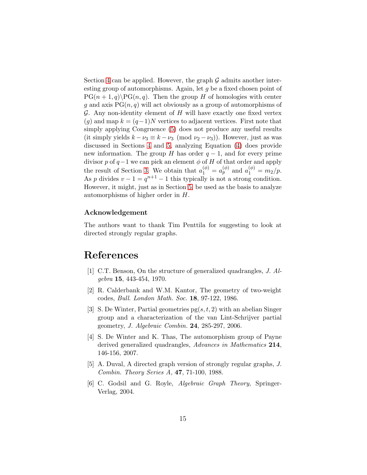Section [4](#page-7-0) can be applied. However, the graph  $\mathcal G$  admits another interesting group of automorphisms. Again, let g be a fixed chosen point of  $PG(n + 1, q) \$ BG(n, q). Then the group H of homologies with center g and axis  $PG(n, q)$  will act obviously as a group of automorphisms of  $G.$  Any non-identity element of  $H$  will have exactly one fixed vertex  $(g)$  and map  $k = (q-1)N$  vertices to adjacent vertices. First note that simply applying Congruence [\(5\)](#page-3-1) does not produce any useful results (it simply yields  $k - \nu_3 \equiv k - \nu_3 \pmod{\nu_2 - \nu_3}$ ). However, just as was discussed in Sections [4](#page-7-0) and [5,](#page-9-0) analyzing Equation [\(4\)](#page-3-0) does provide new information. The group H has order  $q-1$ , and for every prime divisor p of  $q-1$  we can pick an element  $\phi$  of H of that order and apply the result of Section [3.](#page-7-1) We obtain that  $a_1^{(\phi)} = a_p^{(\phi)}$  and  $a_1^{(\phi)} = m_2/p$ . As p divides  $v - 1 = q^{n+1} - 1$  this typically is not a strong condition. However, it might, just as in Section [5,](#page-9-0) be used as the basis to analyze automorphisms of higher order in H.

#### Acknowledgement

The authors want to thank Tim Penttila for suggesting to look at directed strongly regular graphs.

# <span id="page-14-0"></span>References

- <span id="page-14-5"></span>[1] C.T. Benson, On the structure of generalized quadrangles, J. Algebra 15, 443-454, 1970.
- <span id="page-14-2"></span>[2] R. Calderbank and W.M. Kantor, The geometry of two-weight codes, Bull. London Math. Soc. 18, 97-122, 1986.
- [3] S. De Winter, Partial geometries  $pg(s, t, 2)$  with an abelian Singer group and a characterization of the van Lint-Schrijver partial geometry, J. Algebraic Combin. 24, 285-297, 2006.
- <span id="page-14-1"></span>[4] S. De Winter and K. Thas, The automorphism group of Payne derived generalized quadrangles, Advances in Mathematics 214, 146-156, 2007.
- <span id="page-14-4"></span><span id="page-14-3"></span>[5] A. Duval, A directed graph version of strongly regular graphs, J. Combin. Theory Series A, 47, 71-100, 1988.
- [6] C. Godsil and G. Royle, Algebraic Graph Theory, Springer-Verlag, 2004.